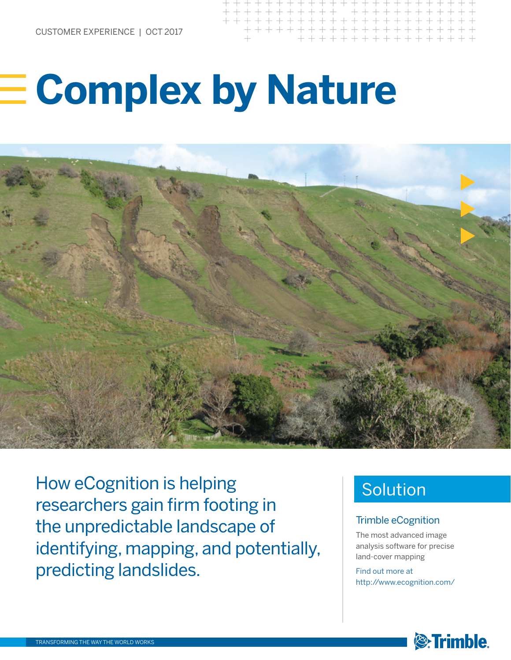# **Complex by Nature**



How eCognition is helping researchers gain firm footing in the unpredictable landscape of identifying, mapping, and potentially, predicting landslides.

# Solution

#### Trimble eCognition

The most advanced image analysis software for precise land‑cover mapping

Find out more at http://www.ecognition.com/

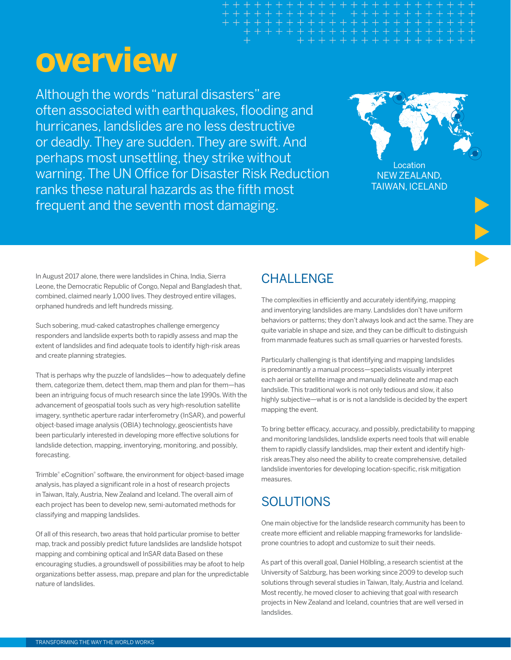# **overview**

Although the words "natural disasters" are often associated with earthquakes, flooding and hurricanes, landslides are no less destructive or deadly. They are sudden. They are swift. And perhaps most unsettling, they strike without warning. The UN Office for Disaster Risk Reduction ranks these natural hazards as the fifth most frequent and the seventh most damaging.



In August 2017 alone, there were landslides in China, India, Sierra Leone, the Democratic Republic of Congo, Nepal and Bangladesh that, combined, claimed nearly 1,000 lives. They destroyed entire villages, orphaned hundreds and left hundreds missing.

Such sobering, mud-caked catastrophes challenge emergency responders and landslide experts both to rapidly assess and map the extent of landslides and find adequate tools to identify high-risk areas and create planning strategies.

That is perhaps why the puzzle of landslides—how to adequately define them, categorize them, detect them, map them and plan for them—has been an intriguing focus of much research since the late 1990s. With the advancement of geospatial tools such as very high-resolution satellite imagery, synthetic aperture radar interferometry (InSAR), and powerful object-based image analysis (OBIA) technology, geoscientists have been particularly interested in developing more effective solutions for landslide detection, mapping, inventorying, monitoring, and possibly, forecasting.

Trimble® eCognition® software, the environment for object-based image analysis, has played a significant role in a host of research projects in Taiwan, Italy, Austria, New Zealand and Iceland. The overall aim of each project has been to develop new, semi-automated methods for classifying and mapping landslides.

Of all of this research, two areas that hold particular promise to better map, track and possibly predict future landslides are landslide hotspot mapping and combining optical and InSAR data Based on these encouraging studies, a groundswell of possibilities may be afoot to help organizations better assess, map, prepare and plan for the unpredictable nature of landslides.

## **CHALLENGE**

The complexities in efficiently and accurately identifying, mapping and inventorying landslides are many. Landslides don't have uniform behaviors or patterns; they don't always look and act the same. They are quite variable in shape and size, and they can be difficult to distinguish from manmade features such as small quarries or harvested forests.

Particularly challenging is that identifying and mapping landslides is predominantly a manual process—specialists visually interpret each aerial or satellite image and manually delineate and map each landslide. This traditional work is not only tedious and slow, it also highly subjective—what is or is not a landslide is decided by the expert mapping the event.

To bring better efficacy, accuracy, and possibly, predictability to mapping and monitoring landslides, landslide experts need tools that will enable them to rapidly classify landslides, map their extent and identify highrisk areas.They also need the ability to create comprehensive, detailed landslide inventories for developing location-specific, risk mitigation measures.

### **SOLUTIONS**

One main objective for the landslide research community has been to create more efficient and reliable mapping frameworks for landslideprone countries to adopt and customize to suit their needs.

As part of this overall goal, Daniel Hölbling, a research scientist at the University of Salzburg, has been working since 2009 to develop such solutions through several studies in Taiwan, Italy, Austria and Iceland. Most recently, he moved closer to achieving that goal with research projects in New Zealand and Iceland, countries that are well versed in landslides.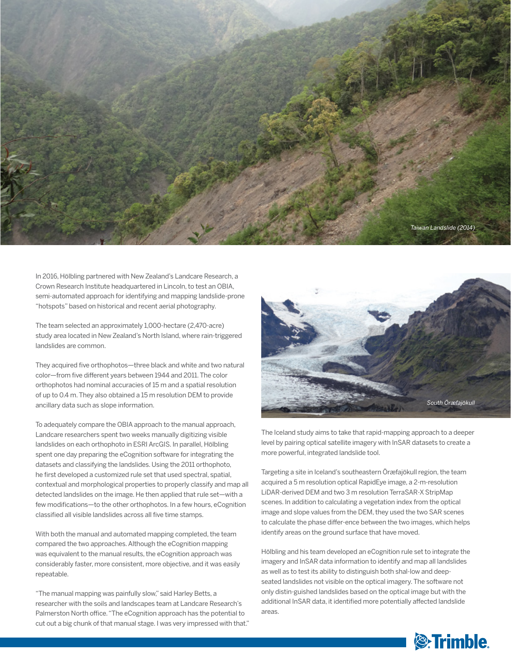

In 2016, Hölbling partnered with New Zealand's Landcare Research, a Crown Research Institute headquartered in Lincoln, to test an OBIA, semi-automated approach for identifying and mapping landslide-prone "hotspots" based on historical and recent aerial photography.

The team selected an approximately 1,000-hectare (2,470-acre) study area located in New Zealand's North Island, where rain-triggered landslides are common.

They acquired five orthophotos—three black and white and two natural color—from five different years between 1944 and 2011. The color orthophotos had nominal accuracies of 15 m and a spatial resolution of up to 0.4 m. They also obtained a 15 m resolution DEM to provide ancillary data such as slope information.

To adequately compare the OBIA approach to the manual approach, Landcare researchers spent two weeks manually digitizing visible landslides on each orthophoto in ESRI ArcGIS. In parallel, Hölbling spent one day preparing the eCognition software for integrating the datasets and classifying the landslides. Using the 2011 orthophoto, he first developed a customized rule set that used spectral, spatial, contextual and morphological properties to properly classify and map all detected landslides on the image. He then applied that rule set—with a few modifications—to the other orthophotos. In a few hours, eCognition classified all visible landslides across all five time stamps.

With both the manual and automated mapping completed, the team compared the two approaches. Although the eCognition mapping was equivalent to the manual results, the eCognition approach was considerably faster, more consistent, more objective, and it was easily repeatable.

"The manual mapping was painfully slow," said Harley Betts, a researcher with the soils and landscapes team at Landcare Research's Palmerston North office. "The eCognition approach has the potential to cut out a big chunk of that manual stage. I was very impressed with that."



The Iceland study aims to take that rapid-mapping approach to a deeper level by pairing optical satellite imagery with InSAR datasets to create a more powerful, integrated landslide tool.

Targeting a site in Iceland's southeastern Öræfajökull region, the team acquired a 5 m resolution optical RapidEye image, a 2-m-resolution LiDAR-derived DEM and two 3 m resolution TerraSAR-X StripMap scenes. In addition to calculating a vegetation index from the optical image and slope values from the DEM, they used the two SAR scenes to calculate the phase differ-ence between the two images, which helps identify areas on the ground surface that have moved.

Hölbling and his team developed an eCognition rule set to integrate the imagery and InSAR data information to identify and map all landslides as well as to test its ability to distinguish both shal-low and deepseated landslides not visible on the optical imagery. The software not only distin-guished landslides based on the optical image but with the additional InSAR data, it identified more potentially affected landslide areas.